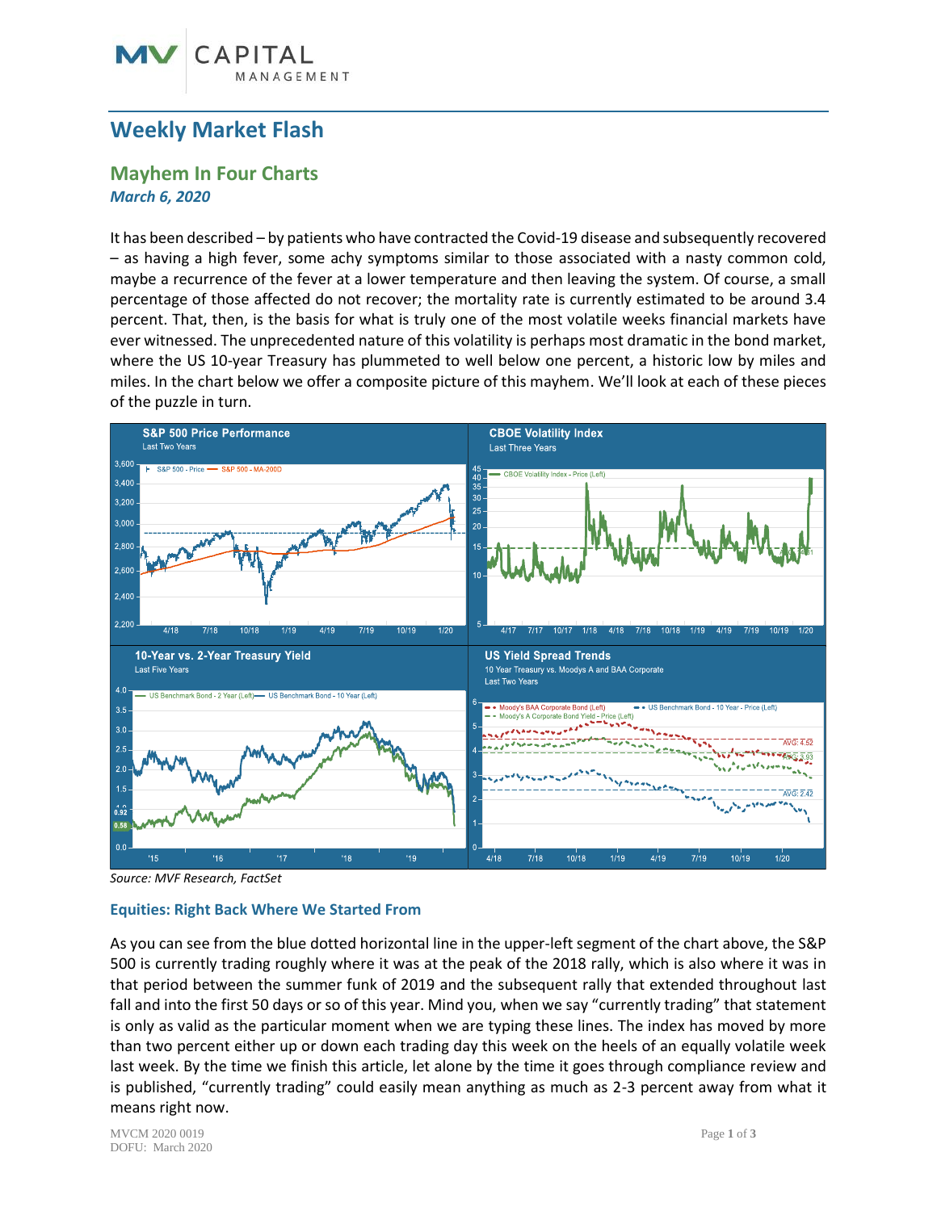# **Weekly Market Flash**

CAPITAL

GEMENT

# **Mayhem In Four Charts** *March 6, 2020*

It has been described – by patients who have contracted the Covid-19 disease and subsequently recovered – as having a high fever, some achy symptoms similar to those associated with a nasty common cold, maybe a recurrence of the fever at a lower temperature and then leaving the system. Of course, a small percentage of those affected do not recover; the mortality rate is currently estimated to be around 3.4 percent. That, then, is the basis for what is truly one of the most volatile weeks financial markets have ever witnessed. The unprecedented nature of this volatility is perhaps most dramatic in the bond market, where the US 10-year Treasury has plummeted to well below one percent, a historic low by miles and miles. In the chart below we offer a composite picture of this mayhem. We'll look at each of these pieces of the puzzle in turn.



*Source: MVF Research, FactSet*

### **Equities: Right Back Where We Started From**

As you can see from the blue dotted horizontal line in the upper-left segment of the chart above, the S&P 500 is currently trading roughly where it was at the peak of the 2018 rally, which is also where it was in that period between the summer funk of 2019 and the subsequent rally that extended throughout last fall and into the first 50 days or so of this year. Mind you, when we say "currently trading" that statement is only as valid as the particular moment when we are typing these lines. The index has moved by more than two percent either up or down each trading day this week on the heels of an equally volatile week last week. By the time we finish this article, let alone by the time it goes through compliance review and is published, "currently trading" could easily mean anything as much as 2-3 percent away from what it means right now.

MVCM 2020 0019 Page **1** of **3** DOFU: March 2020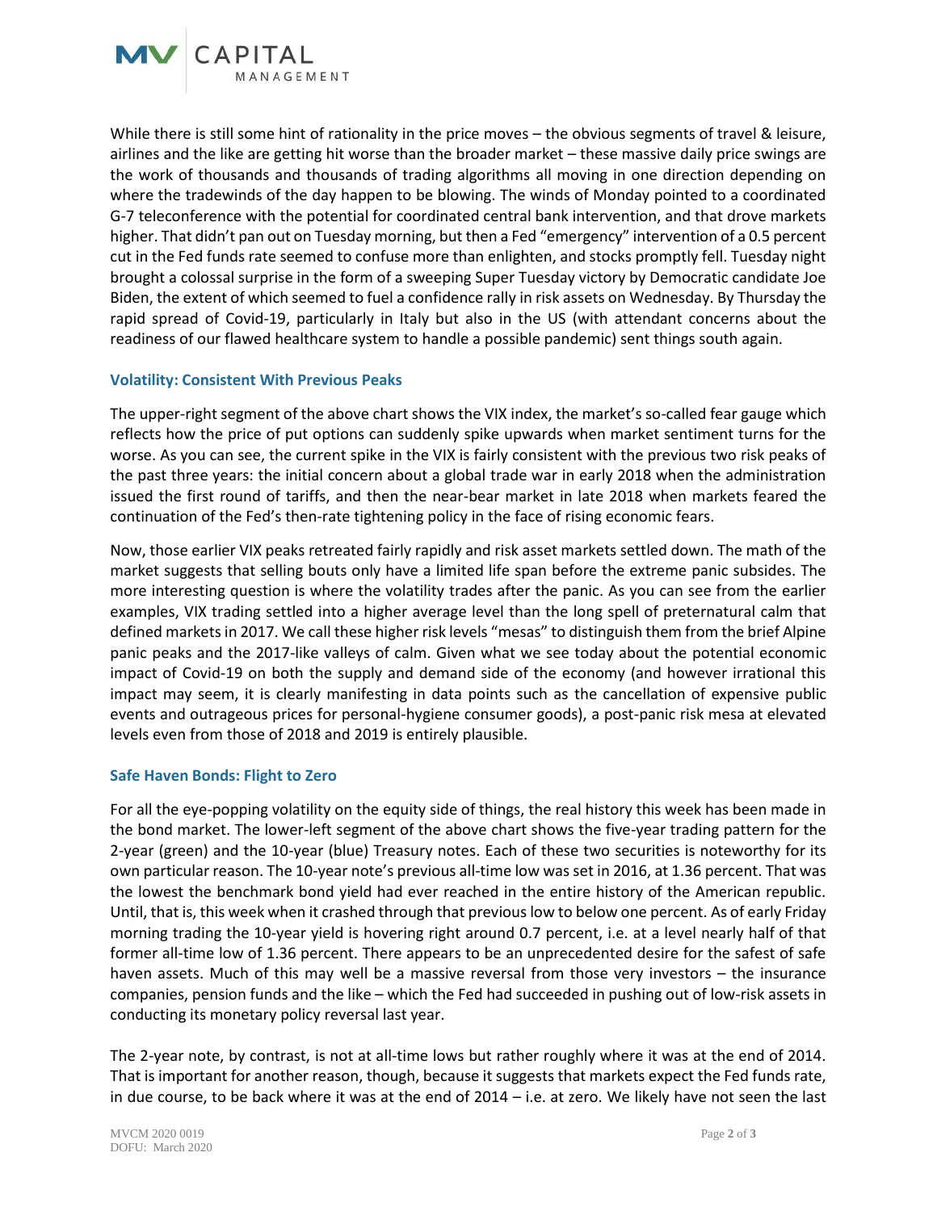

While there is still some hint of rationality in the price moves – the obvious segments of travel & leisure, airlines and the like are getting hit worse than the broader market – these massive daily price swings are the work of thousands and thousands of trading algorithms all moving in one direction depending on where the tradewinds of the day happen to be blowing. The winds of Monday pointed to a coordinated G-7 teleconference with the potential for coordinated central bank intervention, and that drove markets higher. That didn't pan out on Tuesday morning, but then a Fed "emergency" intervention of a 0.5 percent cut in the Fed funds rate seemed to confuse more than enlighten, and stocks promptly fell. Tuesday night brought a colossal surprise in the form of a sweeping Super Tuesday victory by Democratic candidate Joe Biden, the extent of which seemed to fuel a confidence rally in risk assets on Wednesday. By Thursday the rapid spread of Covid-19, particularly in Italy but also in the US (with attendant concerns about the readiness of our flawed healthcare system to handle a possible pandemic) sent things south again.

## **Volatility: Consistent With Previous Peaks**

The upper-right segment of the above chart shows the VIX index, the market's so-called fear gauge which reflects how the price of put options can suddenly spike upwards when market sentiment turns for the worse. As you can see, the current spike in the VIX is fairly consistent with the previous two risk peaks of the past three years: the initial concern about a global trade war in early 2018 when the administration issued the first round of tariffs, and then the near-bear market in late 2018 when markets feared the continuation of the Fed's then-rate tightening policy in the face of rising economic fears.

Now, those earlier VIX peaks retreated fairly rapidly and risk asset markets settled down. The math of the market suggests that selling bouts only have a limited life span before the extreme panic subsides. The more interesting question is where the volatility trades after the panic. As you can see from the earlier examples, VIX trading settled into a higher average level than the long spell of preternatural calm that defined markets in 2017. We call these higher risk levels "mesas" to distinguish them from the brief Alpine panic peaks and the 2017-like valleys of calm. Given what we see today about the potential economic impact of Covid-19 on both the supply and demand side of the economy (and however irrational this impact may seem, it is clearly manifesting in data points such as the cancellation of expensive public events and outrageous prices for personal-hygiene consumer goods), a post-panic risk mesa at elevated levels even from those of 2018 and 2019 is entirely plausible.

### **Safe Haven Bonds: Flight to Zero**

For all the eye-popping volatility on the equity side of things, the real history this week has been made in the bond market. The lower-left segment of the above chart shows the five-year trading pattern for the 2-year (green) and the 10-year (blue) Treasury notes. Each of these two securities is noteworthy for its own particular reason. The 10-year note's previous all-time low was set in 2016, at 1.36 percent. That was the lowest the benchmark bond yield had ever reached in the entire history of the American republic. Until, that is, this week when it crashed through that previous low to below one percent. As of early Friday morning trading the 10-year yield is hovering right around 0.7 percent, i.e. at a level nearly half of that former all-time low of 1.36 percent. There appears to be an unprecedented desire for the safest of safe haven assets. Much of this may well be a massive reversal from those very investors – the insurance companies, pension funds and the like – which the Fed had succeeded in pushing out of low-risk assets in conducting its monetary policy reversal last year.

The 2-year note, by contrast, is not at all-time lows but rather roughly where it was at the end of 2014. That is important for another reason, though, because it suggests that markets expect the Fed funds rate, in due course, to be back where it was at the end of 2014 – i.e. at zero. We likely have not seen the last